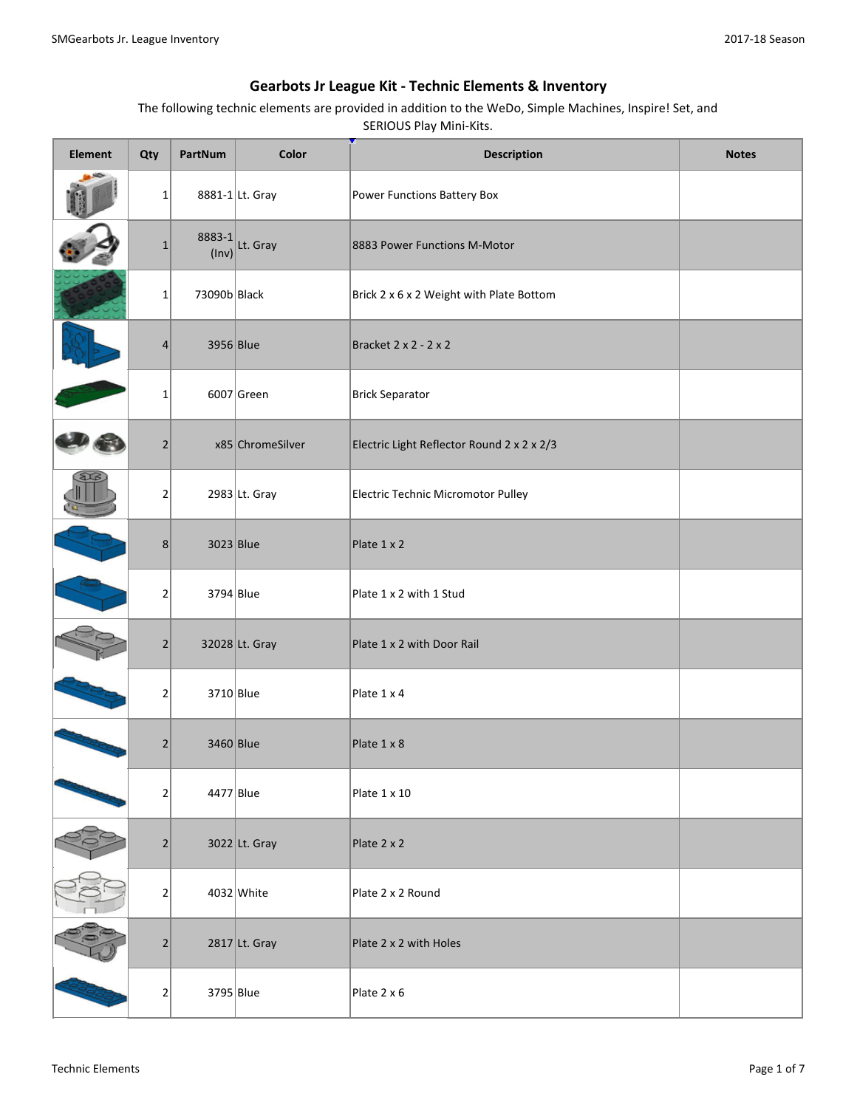| <b>Element</b> | Qty            | PartNum         | Color            | <b>Description</b>                         | <b>Notes</b> |
|----------------|----------------|-----------------|------------------|--------------------------------------------|--------------|
|                | $1\vert$       |                 | 8881-1 Lt. Gray  | Power Functions Battery Box                |              |
|                | $\mathbf{1}$   | 8883-1<br>(Inv) | Lt. Gray         | 8883 Power Functions M-Motor               |              |
|                | $\mathbf 1$    | 73090b Black    |                  | Brick 2 x 6 x 2 Weight with Plate Bottom   |              |
|                | 4              | 3956 Blue       |                  | Bracket 2 x 2 - 2 x 2                      |              |
|                | $\mathbf 1$    |                 | $6007$ Green     | <b>Brick Separator</b>                     |              |
|                | $\overline{2}$ |                 | x85 ChromeSilver | Electric Light Reflector Round 2 x 2 x 2/3 |              |
|                | $\overline{2}$ |                 | $2983$ Lt. Gray  | Electric Technic Micromotor Pulley         |              |
|                | 8              | $3023$ Blue     |                  | Plate 1 x 2                                |              |
|                | $\mathbf 2$    | 3794 Blue       |                  | Plate 1 x 2 with 1 Stud                    |              |
|                | $\overline{2}$ |                 | 32028 Lt. Gray   | Plate 1 x 2 with Door Rail                 |              |
|                | $\mathbf 2$    | $3710$ Blue     |                  | Plate 1 x 4                                |              |
|                | $\overline{2}$ | 3460 Blue       |                  | Plate 1 x 8                                |              |
|                | $\overline{2}$ | 4477 Blue       |                  | Plate 1 x 10                               |              |
|                | $\overline{2}$ |                 | $3022$ Lt. Gray  | Plate 2 x 2                                |              |
|                | $\overline{2}$ |                 | $4032$ White     | Plate 2 x 2 Round                          |              |
|                | $\overline{2}$ |                 | $2817$ Lt. Gray  | Plate 2 x 2 with Holes                     |              |
|                | $\overline{2}$ | 3795 Blue       |                  | Plate 2 x 6                                |              |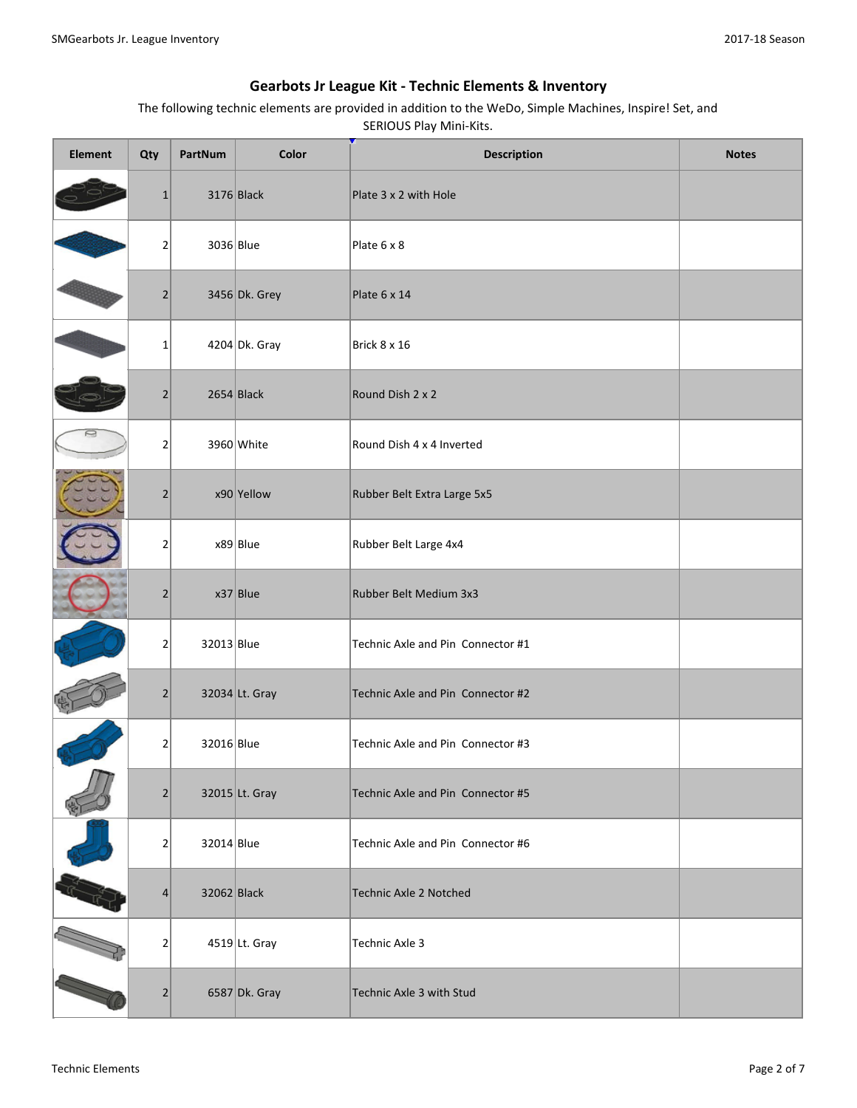| <b>Element</b> | Qty            | PartNum     | Color           | <b>Description</b>                | <b>Notes</b> |
|----------------|----------------|-------------|-----------------|-----------------------------------|--------------|
|                | $\mathbf{1}$   |             | $3176$ Black    | Plate 3 x 2 with Hole             |              |
|                | $\overline{2}$ | 3036 Blue   |                 | Plate 6 x 8                       |              |
|                | $\overline{2}$ |             | 3456 Dk. Grey   | Plate 6 x 14                      |              |
|                | $\mathbf{1}$   |             | $4204 Dk.$ Gray | Brick 8 x 16                      |              |
|                | 2              |             | $2654$ Black    | Round Dish 2 x 2                  |              |
|                | $\overline{2}$ |             | $3960$ White    | Round Dish 4 x 4 Inverted         |              |
|                | $\overline{2}$ |             | $x90$ Yellow    | Rubber Belt Extra Large 5x5       |              |
|                | $\overline{2}$ |             | $x89$ Blue      | Rubber Belt Large 4x4             |              |
|                | 2              |             | $x37$ Blue      | Rubber Belt Medium 3x3            |              |
|                | 2              | 32013 Blue  |                 | Technic Axle and Pin Connector #1 |              |
|                | $\overline{2}$ |             | 32034 Lt. Gray  | Technic Axle and Pin Connector #2 |              |
|                | 2              | 32016 Blue  |                 | Technic Axle and Pin Connector #3 |              |
|                | $\overline{2}$ |             | 32015 Lt. Gray  | Technic Axle and Pin Connector #5 |              |
|                | $\overline{2}$ | 32014 Blue  |                 | Technic Axle and Pin Connector #6 |              |
|                | 4              | 32062 Black |                 | Technic Axle 2 Notched            |              |
|                | 2              |             | $4519$ Lt. Gray | Technic Axle 3                    |              |
|                | $\overline{2}$ |             | 6587 Dk. Gray   | Technic Axle 3 with Stud          |              |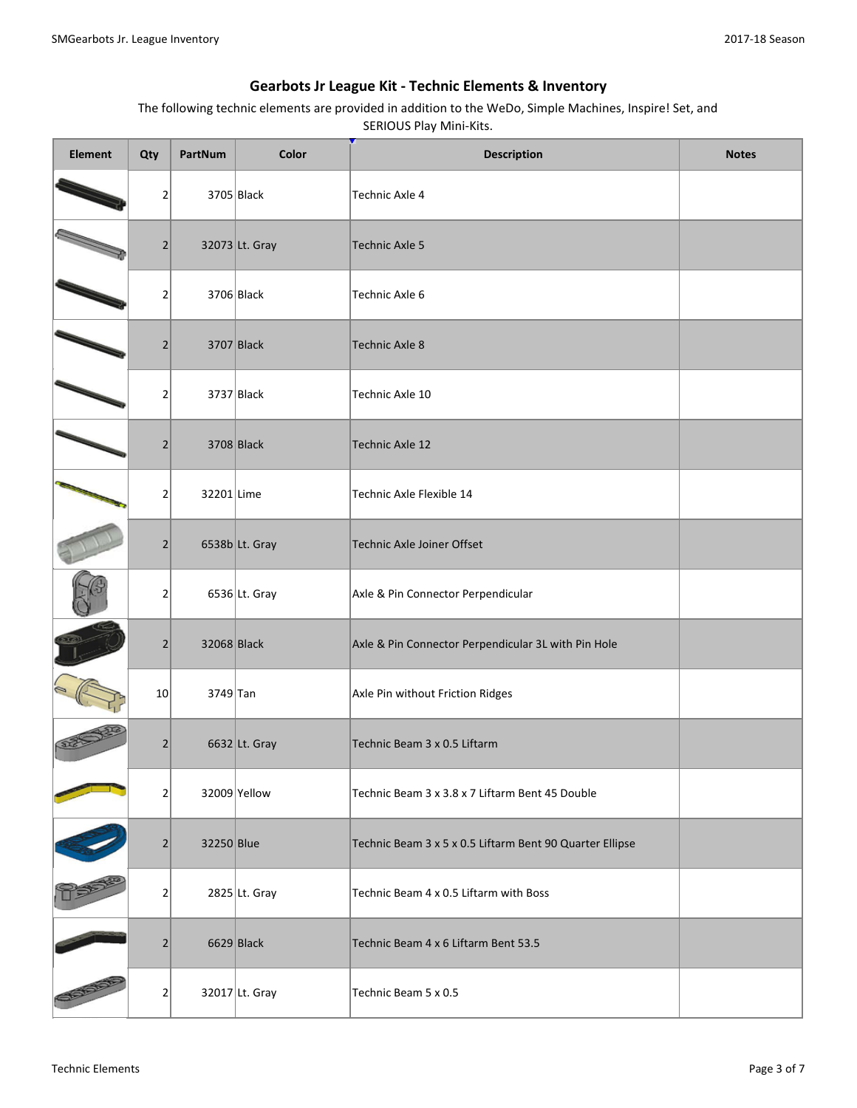| <b>Element</b> | Qty            | PartNum     | Color           | <b>Description</b>                                       | <b>Notes</b> |
|----------------|----------------|-------------|-----------------|----------------------------------------------------------|--------------|
|                | 2              |             | $3705$ Black    | <b>Technic Axle 4</b>                                    |              |
|                | $\overline{2}$ |             | 32073 Lt. Gray  | <b>Technic Axle 5</b>                                    |              |
|                | 2              |             | $3706$ Black    | Technic Axle 6                                           |              |
|                | $\overline{2}$ |             | $3707$ Black    | <b>Technic Axle 8</b>                                    |              |
|                | 2              |             | $3737$ Black    | Technic Axle 10                                          |              |
|                | $\overline{2}$ |             | 3708 Black      | <b>Technic Axle 12</b>                                   |              |
|                | $\overline{2}$ | 32201 Lime  |                 | Technic Axle Flexible 14                                 |              |
|                | $\overline{2}$ |             | 6538b Lt. Gray  | Technic Axle Joiner Offset                               |              |
|                | 2              |             | $6536$ Lt. Gray | Axle & Pin Connector Perpendicular                       |              |
|                | $\overline{2}$ | 32068 Black |                 | Axle & Pin Connector Perpendicular 3L with Pin Hole      |              |
|                | 10             | 3749 Tan    |                 | Axle Pin without Friction Ridges                         |              |
|                | $\overline{2}$ |             | 6632 Lt. Gray   | Technic Beam 3 x 0.5 Liftarm                             |              |
|                | 2              |             | 32009 Yellow    | Technic Beam 3 x 3.8 x 7 Liftarm Bent 45 Double          |              |
|                | $\overline{2}$ | 32250 Blue  |                 | Technic Beam 3 x 5 x 0.5 Liftarm Bent 90 Quarter Ellipse |              |
|                | 2              |             | $2825$ Lt. Gray | Technic Beam 4 x 0.5 Liftarm with Boss                   |              |
|                | $\overline{2}$ |             | $6629$ Black    | Technic Beam 4 x 6 Liftarm Bent 53.5                     |              |
|                | 2              |             | 32017 Lt. Gray  | Technic Beam 5 x 0.5                                     |              |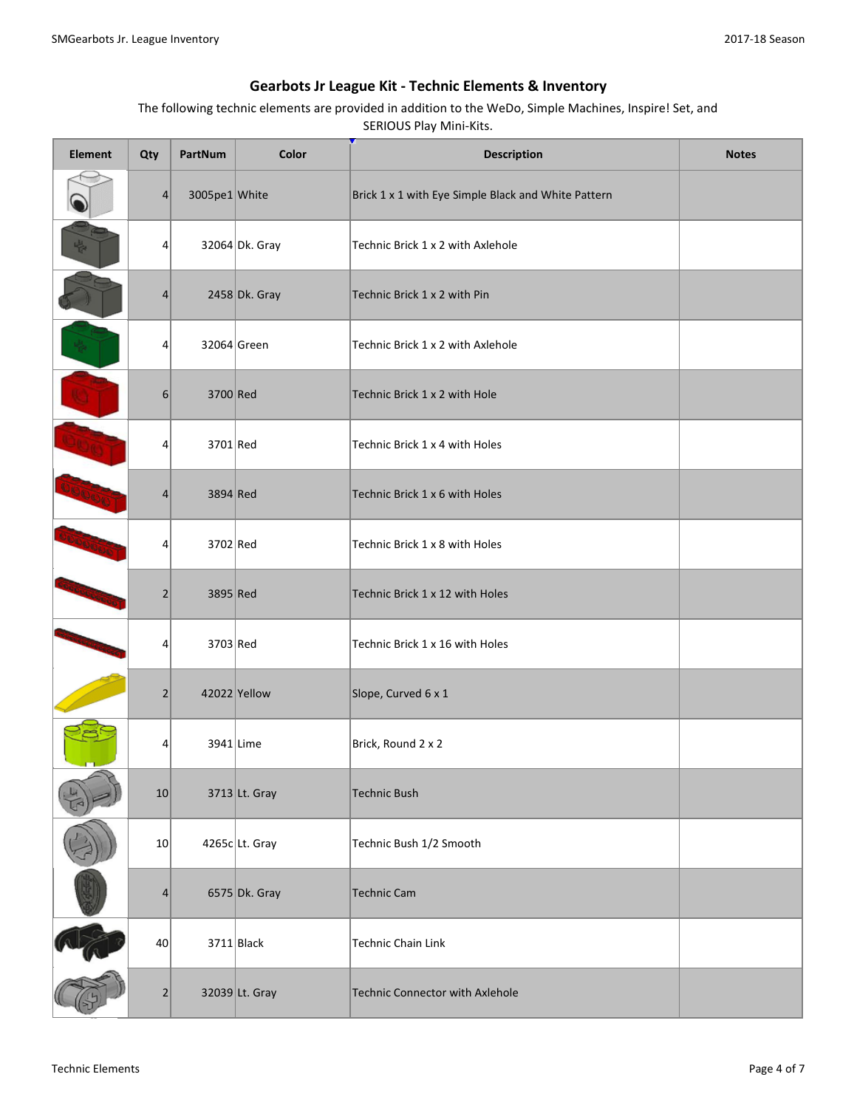| <b>Element</b> | Qty              | PartNum       | Color            | <b>Description</b>                                  | <b>Notes</b> |
|----------------|------------------|---------------|------------------|-----------------------------------------------------|--------------|
|                | $\vert$          | 3005pe1 White |                  | Brick 1 x 1 with Eye Simple Black and White Pattern |              |
|                | 4                |               | 32064 Dk. Gray   | Technic Brick 1 x 2 with Axlehole                   |              |
|                | 4                |               | $2458$ Dk. Gray  | Technic Brick 1 x 2 with Pin                        |              |
|                | 4                |               | 32064 Green      | Technic Brick 1 x 2 with Axlehole                   |              |
|                | $6 \overline{6}$ | 3700 Red      |                  | Technic Brick 1 x 2 with Hole                       |              |
| DUE            | 4                | $3701$ Red    |                  | Technic Brick 1 x 4 with Holes                      |              |
|                | 4                | 3894 Red      |                  | Technic Brick 1 x 6 with Holes                      |              |
|                | 4                | 3702 Red      |                  | Technic Brick 1 x 8 with Holes                      |              |
|                | $\overline{2}$   | 3895 Red      |                  | Technic Brick 1 x 12 with Holes                     |              |
|                | 4                | 3703 Red      |                  | Technic Brick 1 x 16 with Holes                     |              |
|                | $\overline{2}$   |               | 42022 Yellow     | Slope, Curved 6 x 1                                 |              |
|                | 4                |               | 3941 Lime        | Brick, Round 2 x 2                                  |              |
|                | 10               |               | 3713 Lt. Gray    | <b>Technic Bush</b>                                 |              |
|                | 10 <sup>2</sup>  |               | $4265c$ Lt. Gray | Technic Bush 1/2 Smooth                             |              |
|                | 4                |               | 6575 Dk. Gray    | <b>Technic Cam</b>                                  |              |
|                | 40 <sup>1</sup>  |               | $3711$ Black     | Technic Chain Link                                  |              |
|                | $\overline{2}$   |               | 32039 Lt. Gray   | Technic Connector with Axlehole                     |              |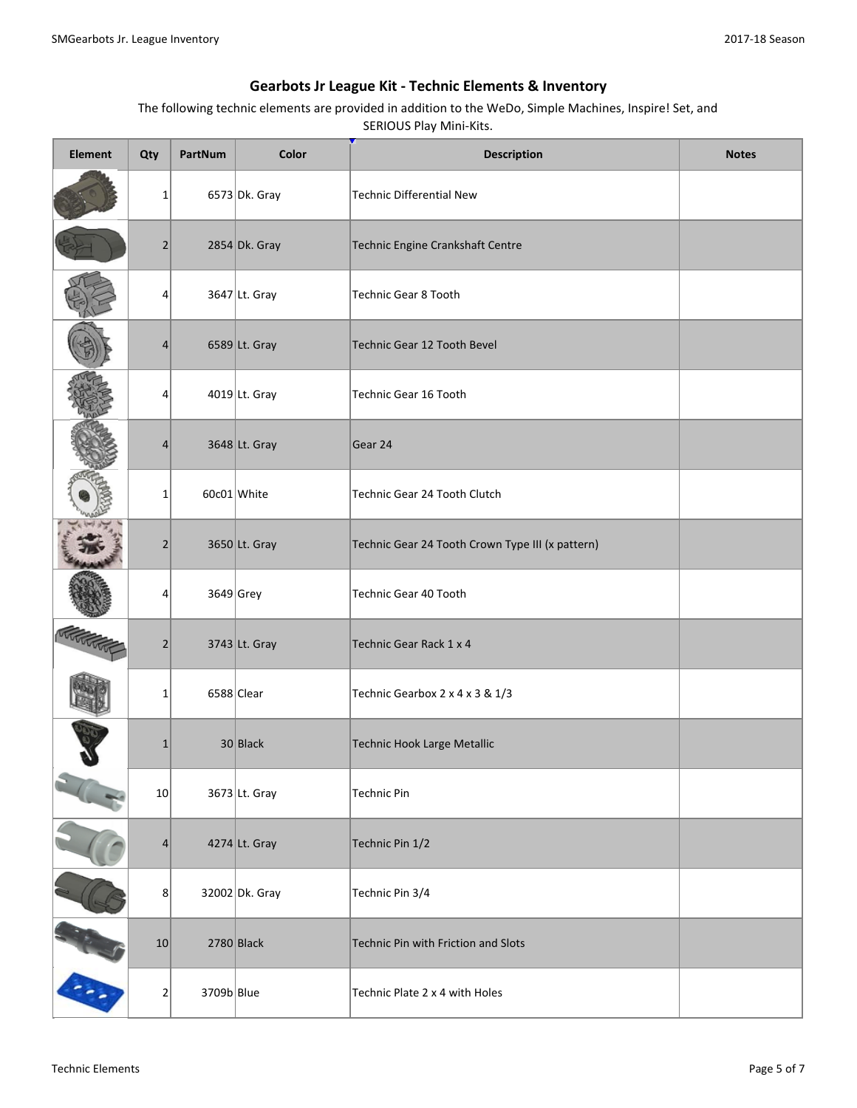| <b>Element</b> | Qty             | PartNum    | Color           | <b>Description</b>                               | <b>Notes</b> |
|----------------|-----------------|------------|-----------------|--------------------------------------------------|--------------|
|                | $1\vert$        |            | 6573 Dk. Gray   | Technic Differential New                         |              |
|                | $\overline{2}$  |            | $2854$ Dk. Gray | Technic Engine Crankshaft Centre                 |              |
|                | 4               |            | 3647 Lt. Gray   | Technic Gear 8 Tooth                             |              |
|                | 4               |            | 6589 Lt. Gray   | <b>Technic Gear 12 Tooth Bevel</b>               |              |
|                | 4               |            | $4019$ Lt. Gray | Technic Gear 16 Tooth                            |              |
|                | $\overline{4}$  |            | 3648 Lt. Gray   | Gear 24                                          |              |
|                | $\mathbf{1}$    |            | 60c01 White     | Technic Gear 24 Tooth Clutch                     |              |
|                | $\overline{2}$  |            | 3650 Lt. Gray   | Technic Gear 24 Tooth Crown Type III (x pattern) |              |
|                | 4               |            | $3649$ Grey     | Technic Gear 40 Tooth                            |              |
|                | $\overline{2}$  |            | 3743 Lt. Gray   | Technic Gear Rack 1 x 4                          |              |
|                | $\mathbf{1}$    |            | $6588$ Clear    | Technic Gearbox 2 x 4 x 3 & 1/3                  |              |
|                | $\mathbf{1}$    |            | $30$ Black      | Technic Hook Large Metallic                      |              |
|                | 10              |            | 3673 Lt. Gray   | <b>Technic Pin</b>                               |              |
|                | $\vert 4 \vert$ |            | 4274 Lt. Gray   | Technic Pin 1/2                                  |              |
|                | 8               |            | 32002 Dk. Gray  | Technic Pin 3/4                                  |              |
|                | 10              |            | $2780$ Black    | Technic Pin with Friction and Slots              |              |
|                | $\mathbf{2}$    | 3709b Blue |                 | Technic Plate 2 x 4 with Holes                   |              |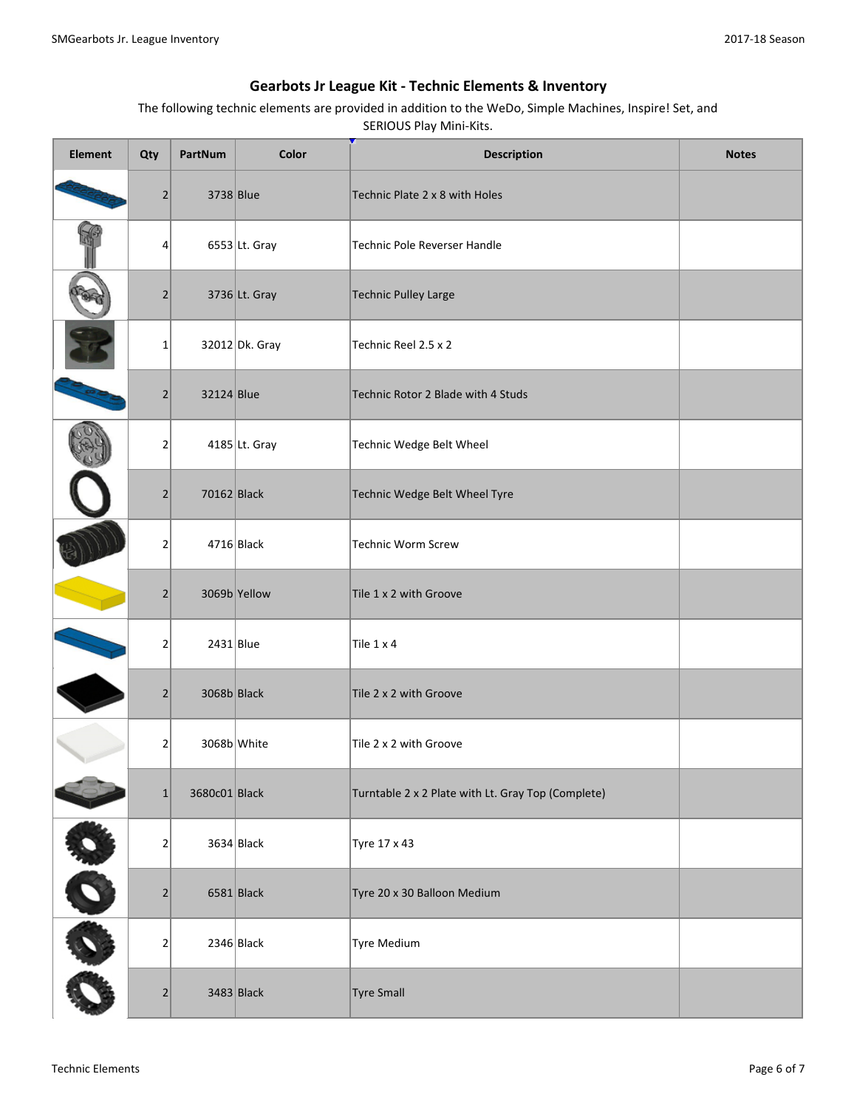| Element | Qty                          | PartNum       | Color           | <b>Description</b>                                 | <b>Notes</b> |
|---------|------------------------------|---------------|-----------------|----------------------------------------------------|--------------|
|         | $\overline{2}$               | 3738 Blue     |                 | Technic Plate 2 x 8 with Holes                     |              |
|         | 4                            |               | $6553$ Lt. Gray | Technic Pole Reverser Handle                       |              |
|         | 2                            |               | 3736 Lt. Gray   | <b>Technic Pulley Large</b>                        |              |
|         | $\mathbf 1$                  |               | 32012 Dk. Gray  | Technic Reel 2.5 x 2                               |              |
|         | 2                            | 32124 Blue    |                 | Technic Rotor 2 Blade with 4 Studs                 |              |
|         | $\overline{2}$               |               | $4185$ Lt. Gray | Technic Wedge Belt Wheel                           |              |
|         | $\overline{2}$               | $70162$ Black |                 | Technic Wedge Belt Wheel Tyre                      |              |
|         | $\mathbf 2$                  |               | $4716$ Black    | Technic Worm Screw                                 |              |
|         | $\overline{2}$               |               | 3069b Yellow    | Tile 1 x 2 with Groove                             |              |
|         | $\mathbf 2$                  | $2431$ Blue   |                 | Tile 1 x 4                                         |              |
|         | $\overline{2}$               | 3068b Black   |                 | Tile 2 x 2 with Groove                             |              |
|         | $\overline{2}$               | 3068b White   |                 | Tile 2 x 2 with Groove                             |              |
|         | $\mathbf{1}$                 | 3680c01 Black |                 | Turntable 2 x 2 Plate with Lt. Gray Top (Complete) |              |
|         | $\mathbf 2$                  |               | $3634$ Black    | Tyre 17 x 43                                       |              |
| OO      | $\left  \frac{2}{2} \right $ |               | $6581$ Black    | Tyre 20 x 30 Balloon Medium                        |              |
|         | $\mathbf{2}$                 |               | $2346$ Black    | Tyre Medium                                        |              |
|         | 2                            |               | $3483$ Black    | <b>Tyre Small</b>                                  |              |